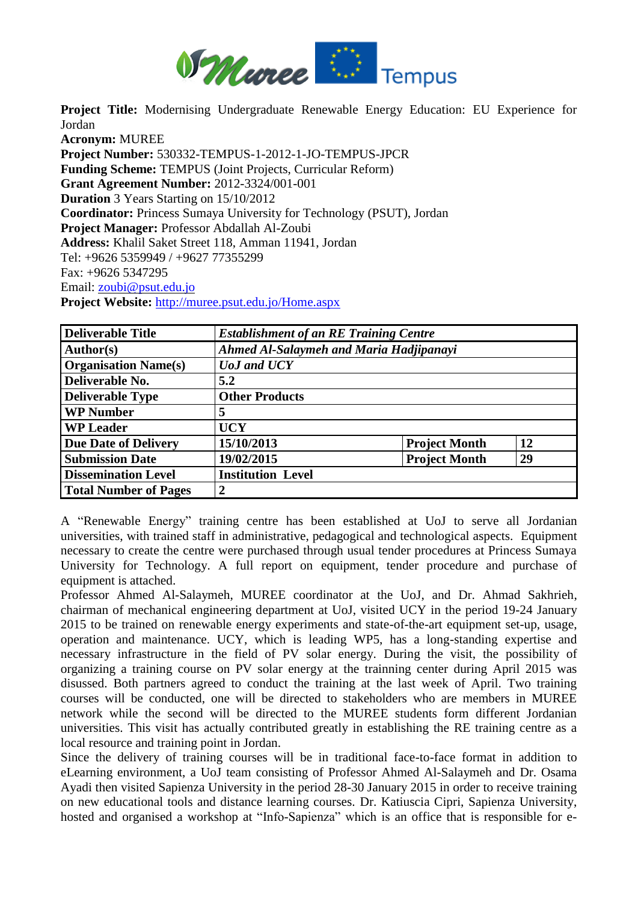

**Project Title:** Modernising Undergraduate Renewable Energy Education: EU Experience for Jordan

**Acronym:** MUREE **Project Number:** 530332-TEMPUS-1-2012-1-JO-TEMPUS-JPCR **Funding Scheme:** TEMPUS (Joint Projects, Curricular Reform) **Grant Agreement Number:** 2012-3324/001-001 **Duration** 3 Years Starting on 15/10/2012 **Coordinator:** Princess Sumaya University for Technology (PSUT), Jordan **Project Manager:** Professor Abdallah Al-Zoubi **Address:** Khalil Saket Street 118, Amman 11941, Jordan Tel: +9626 5359949 / +9627 77355299 Fax: +9626 5347295 Email: zoubi@psut.edu.jo **Project Website:** http://muree.psut.edu.jo/Home.aspx

| <b>Deliverable Title</b>     | <b>Establishment of an RE Training Centre</b> |                      |    |
|------------------------------|-----------------------------------------------|----------------------|----|
| Author(s)                    | Ahmed Al-Salaymeh and Maria Hadjipanayi       |                      |    |
| <b>Organisation Name(s)</b>  | <b><i>UoJ</i></b> and <b><i>UCY</i></b>       |                      |    |
| Deliverable No.              | 5.2                                           |                      |    |
| <b>Deliverable Type</b>      | <b>Other Products</b>                         |                      |    |
| <b>WP Number</b>             | 5                                             |                      |    |
| <b>WP Leader</b>             | <b>UCY</b>                                    |                      |    |
| <b>Due Date of Delivery</b>  | 15/10/2013                                    | <b>Project Month</b> | 12 |
| <b>Submission Date</b>       | 19/02/2015                                    | <b>Project Month</b> | 29 |
| <b>Dissemination Level</b>   | <b>Institution Level</b>                      |                      |    |
| <b>Total Number of Pages</b> | 2                                             |                      |    |

A "Renewable Energy" training centre has been established at UoJ to serve all Jordanian universities, with trained staff in administrative, pedagogical and technological aspects. Equipment necessary to create the centre were purchased through usual tender procedures at Princess Sumaya University for Technology. A full report on equipment, tender procedure and purchase of equipment is attached.

Professor Ahmed Al-Salaymeh, MUREE coordinator at the UoJ, and Dr. Ahmad Sakhrieh, chairman of mechanical engineering department at UoJ, visited UCY in the period 19-24 January 2015 to be trained on renewable energy experiments and state-of-the-art equipment set-up, usage, operation and maintenance. UCY, which is leading WP5, has a long-standing expertise and necessary infrastructure in the field of PV solar energy. During the visit, the possibility of organizing a training course on PV solar energy at the trainning center during April 2015 was disussed. Both partners agreed to conduct the training at the last week of April. Two training courses will be conducted, one will be directed to stakeholders who are members in MUREE network while the second will be directed to the MUREE students form different Jordanian universities. This visit has actually contributed greatly in establishing the RE training centre as a local resource and training point in Jordan.

Since the delivery of training courses will be in traditional face-to-face format in addition to eLearning environment, a UoJ team consisting of Professor Ahmed Al-Salaymeh and Dr. Osama Ayadi then visited Sapienza University in the period 28-30 January 2015 in order to receive training on new educational tools and distance learning courses. Dr. Katiuscia Cipri, Sapienza University, hosted and organised a workshop at "Info-Sapienza" which is an office that is responsible for e-